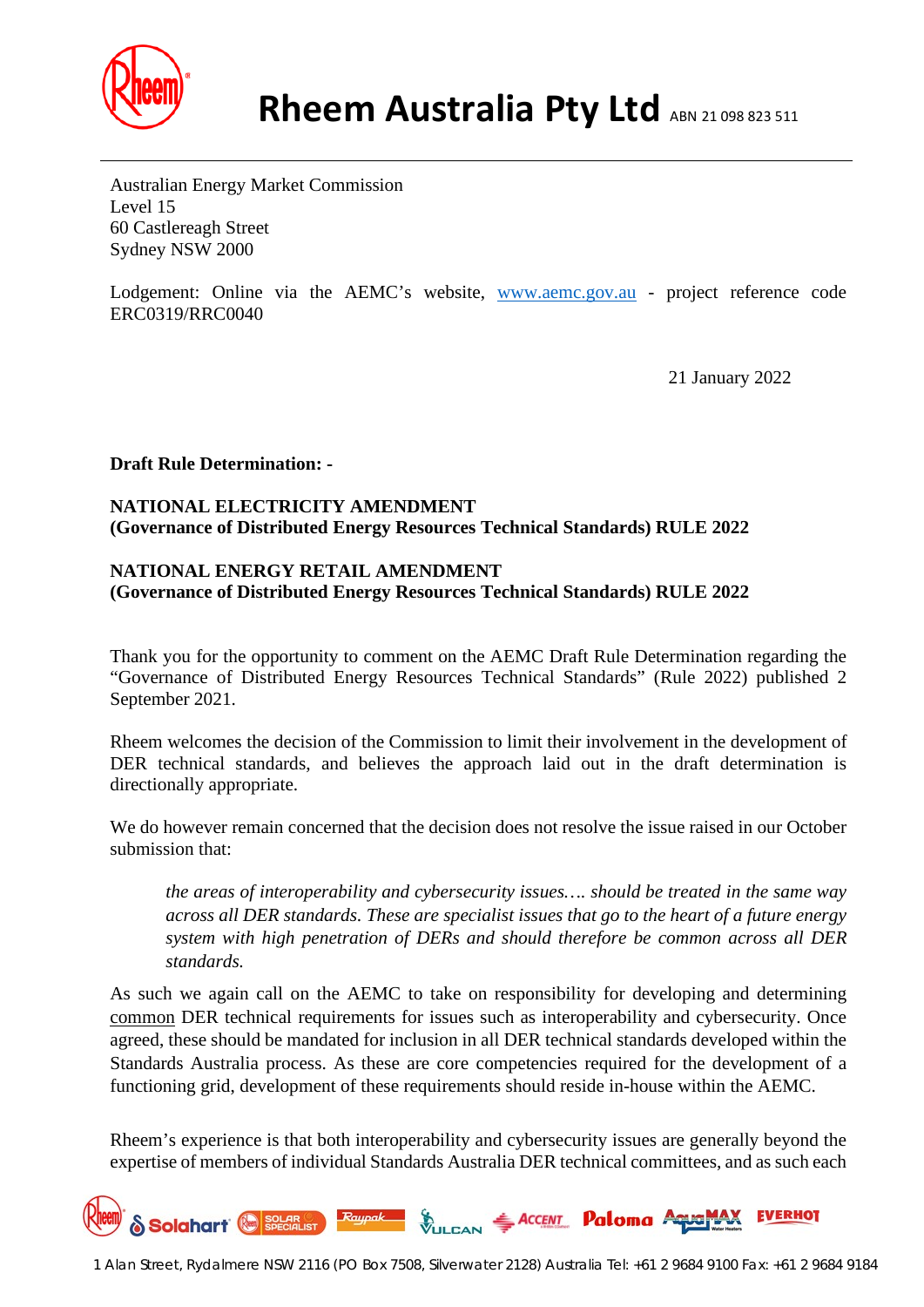

Australian Energy Market Commission Level 15 60 Castlereagh Street Sydney NSW 2000

Lodgement: Online via the AEMC's website, [www.aemc.gov.au](http://www.aemc.gov.au/) - project reference code ERC0319/RRC0040

21 January 2022

**Draft Rule Determination: -**

# **NATIONAL ELECTRICITY AMENDMENT (Governance of Distributed Energy Resources Technical Standards) RULE 2022**

## **NATIONAL ENERGY RETAIL AMENDMENT (Governance of Distributed Energy Resources Technical Standards) RULE 2022**

Thank you for the opportunity to comment on the AEMC Draft Rule Determination regarding the "Governance of Distributed Energy Resources Technical Standards" (Rule 2022) published 2 September 2021.

Rheem welcomes the decision of the Commission to limit their involvement in the development of DER technical standards, and believes the approach laid out in the draft determination is directionally appropriate.

We do however remain concerned that the decision does not resolve the issue raised in our October submission that:

*the areas of interoperability and cybersecurity issues…. should be treated in the same way across all DER standards. These are specialist issues that go to the heart of a future energy system with high penetration of DERs and should therefore be common across all DER standards.*

As such we again call on the AEMC to take on responsibility for developing and determining common DER technical requirements for issues such as interoperability and cybersecurity. Once agreed, these should be mandated for inclusion in all DER technical standards developed within the Standards Australia process. As these are core competencies required for the development of a functioning grid, development of these requirements should reside in-house within the AEMC.

Rheem's experience is that both interoperability and cybersecurity issues are generally beyond the expertise of members of individual Standards Australia DER technical committees, and as such each

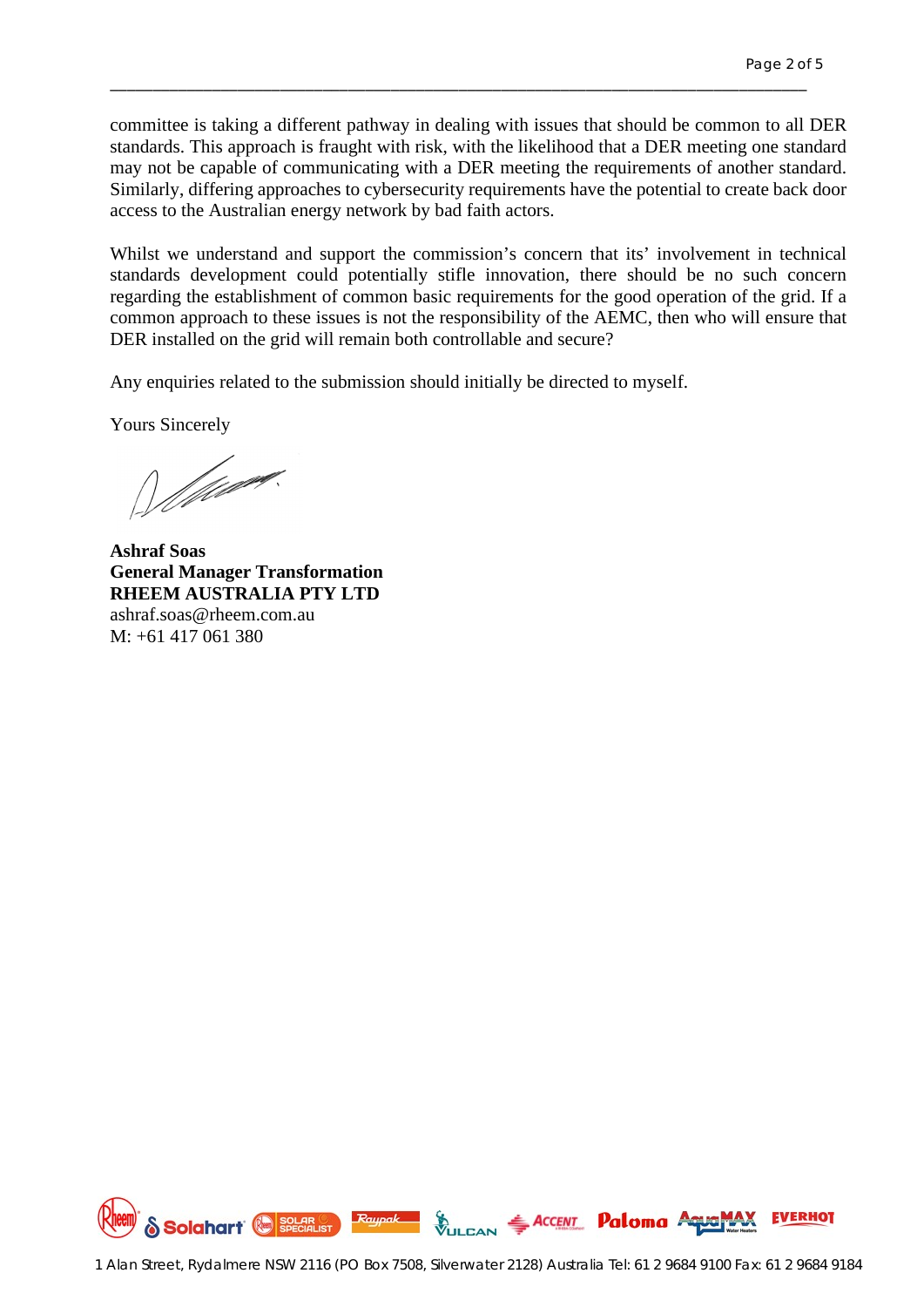committee is taking a different pathway in dealing with issues that should be common to all DER standards. This approach is fraught with risk, with the likelihood that a DER meeting one standard may not be capable of communicating with a DER meeting the requirements of another standard. Similarly, differing approaches to cybersecurity requirements have the potential to create back door access to the Australian energy network by bad faith actors.

\_\_\_\_\_\_\_\_\_\_\_\_\_\_\_\_\_\_\_\_\_\_\_\_\_\_\_\_\_\_\_\_\_\_\_\_\_\_\_\_\_\_\_\_\_\_\_\_\_\_\_\_\_\_\_\_\_\_\_\_\_\_\_\_\_\_\_\_\_\_\_\_\_\_\_\_\_\_\_\_\_\_

Whilst we understand and support the commission's concern that its' involvement in technical standards development could potentially stifle innovation, there should be no such concern regarding the establishment of common basic requirements for the good operation of the grid. If a common approach to these issues is not the responsibility of the AEMC, then who will ensure that DER installed on the grid will remain both controllable and secure?

Any enquiries related to the submission should initially be directed to myself.

Yours Sincerely

William.

**Ashraf Soas General Manager Transformation RHEEM AUSTRALIA PTY LTD** ashraf.soas@rheem.com.au M: +61 417 061 380

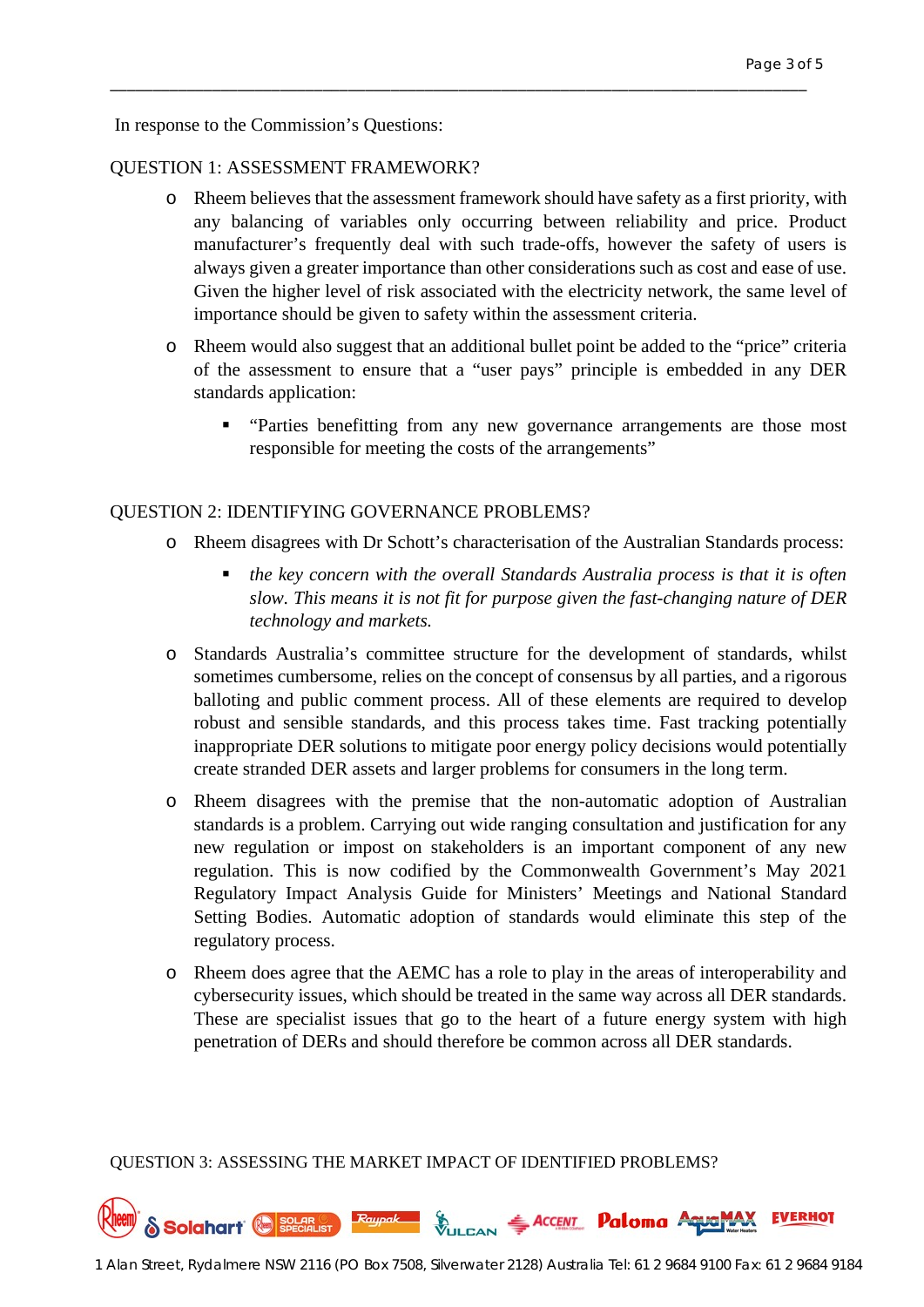In response to the Commission's Questions:

### QUESTION 1: ASSESSMENT FRAMEWORK?

o Rheem believes that the assessment framework should have safety as a first priority, with any balancing of variables only occurring between reliability and price. Product manufacturer's frequently deal with such trade-offs, however the safety of users is always given a greater importance than other considerations such as cost and ease of use. Given the higher level of risk associated with the electricity network, the same level of importance should be given to safety within the assessment criteria.

\_\_\_\_\_\_\_\_\_\_\_\_\_\_\_\_\_\_\_\_\_\_\_\_\_\_\_\_\_\_\_\_\_\_\_\_\_\_\_\_\_\_\_\_\_\_\_\_\_\_\_\_\_\_\_\_\_\_\_\_\_\_\_\_\_\_\_\_\_\_\_\_\_\_\_\_\_\_\_\_\_\_

- o Rheem would also suggest that an additional bullet point be added to the "price" criteria of the assessment to ensure that a "user pays" principle is embedded in any DER standards application:
	- **•** "Parties benefitting from any new governance arrangements are those most responsible for meeting the costs of the arrangements"

#### QUESTION 2: IDENTIFYING GOVERNANCE PROBLEMS?

- o Rheem disagrees with Dr Schott's characterisation of the Australian Standards process:
	- *the key concern with the overall Standards Australia process is that it is often slow. This means it is not fit for purpose given the fast-changing nature of DER technology and markets.*
- o Standards Australia's committee structure for the development of standards, whilst sometimes cumbersome, relies on the concept of consensus by all parties, and a rigorous balloting and public comment process. All of these elements are required to develop robust and sensible standards, and this process takes time. Fast tracking potentially inappropriate DER solutions to mitigate poor energy policy decisions would potentially create stranded DER assets and larger problems for consumers in the long term.
- o Rheem disagrees with the premise that the non-automatic adoption of Australian standards is a problem. Carrying out wide ranging consultation and justification for any new regulation or impost on stakeholders is an important component of any new regulation. This is now codified by the Commonwealth Government's May 2021 Regulatory Impact Analysis Guide for Ministers' Meetings and National Standard Setting Bodies. Automatic adoption of standards would eliminate this step of the regulatory process.
- o Rheem does agree that the AEMC has a role to play in the areas of interoperability and cybersecurity issues, which should be treated in the same way across all DER standards. These are specialist issues that go to the heart of a future energy system with high penetration of DERs and should therefore be common across all DER standards.

QUESTION 3: ASSESSING THE MARKET IMPACT OF IDENTIFIED PROBLEMS?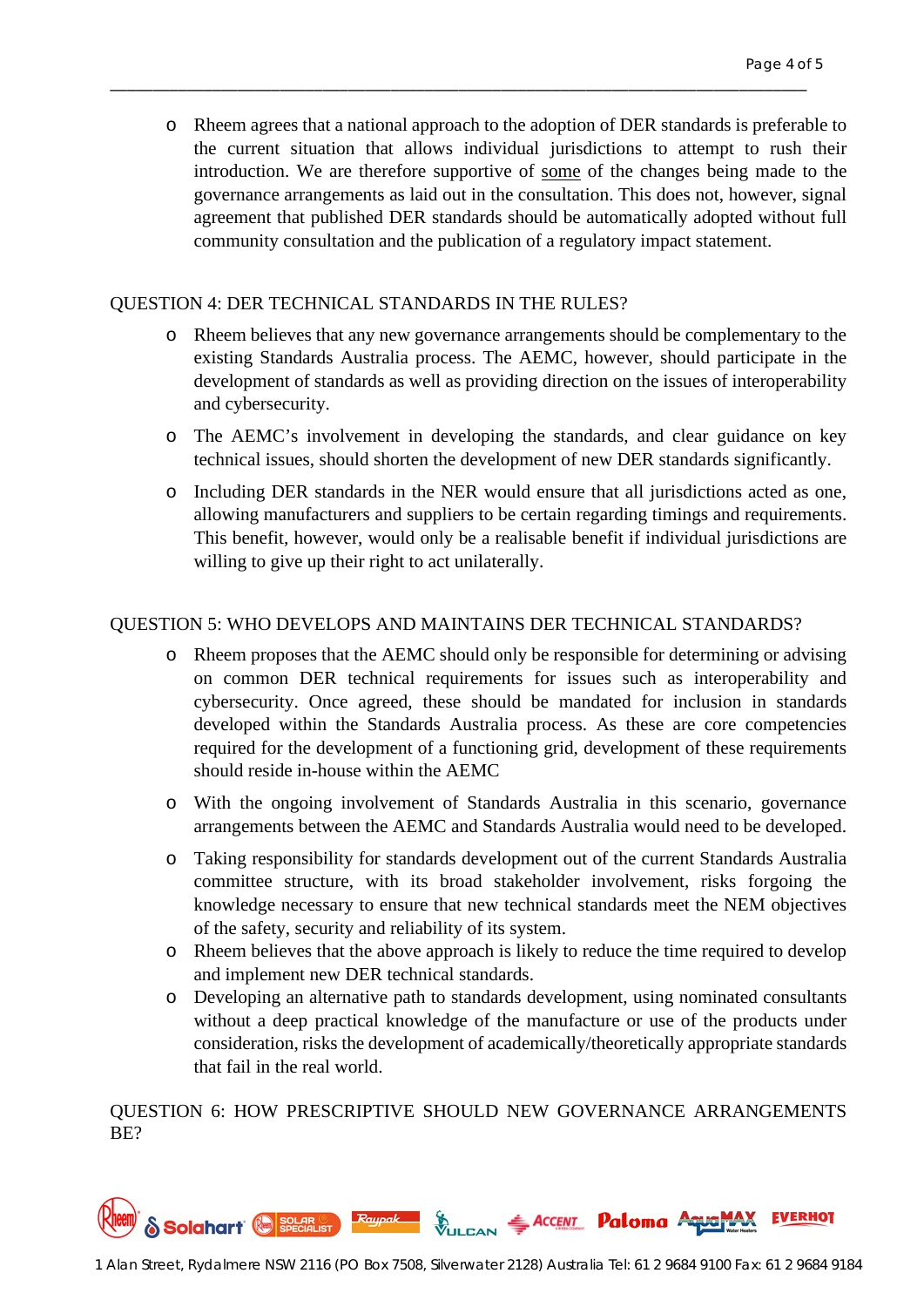o Rheem agrees that a national approach to the adoption of DER standards is preferable to the current situation that allows individual jurisdictions to attempt to rush their introduction. We are therefore supportive of some of the changes being made to the governance arrangements as laid out in the consultation. This does not, however, signal agreement that published DER standards should be automatically adopted without full community consultation and the publication of a regulatory impact statement.

\_\_\_\_\_\_\_\_\_\_\_\_\_\_\_\_\_\_\_\_\_\_\_\_\_\_\_\_\_\_\_\_\_\_\_\_\_\_\_\_\_\_\_\_\_\_\_\_\_\_\_\_\_\_\_\_\_\_\_\_\_\_\_\_\_\_\_\_\_\_\_\_\_\_\_\_\_\_\_\_\_\_

### QUESTION 4: DER TECHNICAL STANDARDS IN THE RULES?

- o Rheem believes that any new governance arrangements should be complementary to the existing Standards Australia process. The AEMC, however, should participate in the development of standards as well as providing direction on the issues of interoperability and cybersecurity.
- o The AEMC's involvement in developing the standards, and clear guidance on key technical issues, should shorten the development of new DER standards significantly.
- o Including DER standards in the NER would ensure that all jurisdictions acted as one, allowing manufacturers and suppliers to be certain regarding timings and requirements. This benefit, however, would only be a realisable benefit if individual jurisdictions are willing to give up their right to act unilaterally.

## QUESTION 5: WHO DEVELOPS AND MAINTAINS DER TECHNICAL STANDARDS?

- o Rheem proposes that the AEMC should only be responsible for determining or advising on common DER technical requirements for issues such as interoperability and cybersecurity. Once agreed, these should be mandated for inclusion in standards developed within the Standards Australia process. As these are core competencies required for the development of a functioning grid, development of these requirements should reside in-house within the AEMC
- o With the ongoing involvement of Standards Australia in this scenario, governance arrangements between the AEMC and Standards Australia would need to be developed.
- o Taking responsibility for standards development out of the current Standards Australia committee structure, with its broad stakeholder involvement, risks forgoing the knowledge necessary to ensure that new technical standards meet the NEM objectives of the safety, security and reliability of its system.
- o Rheem believes that the above approach is likely to reduce the time required to develop and implement new DER technical standards.
- o Developing an alternative path to standards development, using nominated consultants without a deep practical knowledge of the manufacture or use of the products under consideration, risks the development of academically/theoretically appropriate standards that fail in the real world.

QUESTION 6: HOW PRESCRIPTIVE SHOULD NEW GOVERNANCE ARRANGEMENTS BE?